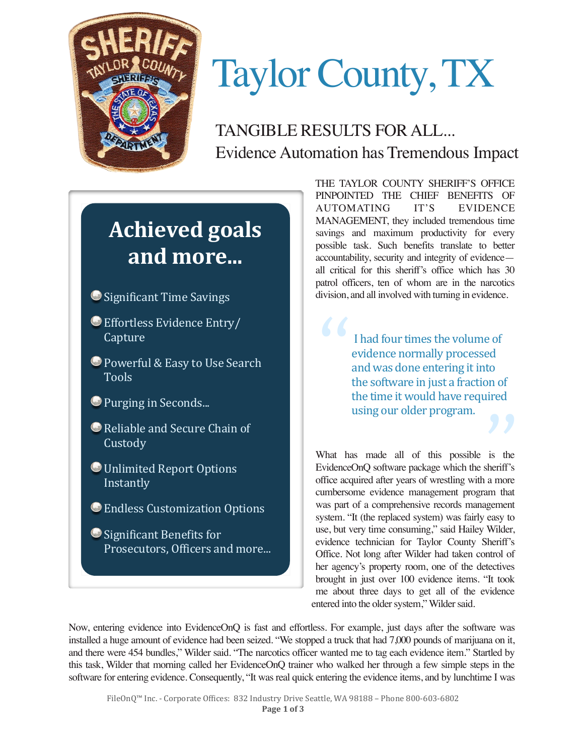

# Taylor County, TX

TANGIBLE RESULTS FOR ALL... Evidence Automation has Tremendous Impact

## **Achieved goals** and more...

- Significant Time Savings
- **Effortless Evidence Entry/** Capture
- **Powerful & Easy to Use Search** Tools
- **O** Purging in Seconds...
- $\bigcirc$  Reliable and Secure Chain of **Custody**
- **Unlimited Report Options** Instantly
- **Endless Customization Options**
- Significant Benefits for Prosecutors, Officers and more...

THE TAYLOR COUNTY SHERIFF'S OFFICE PINPOINTED THE CHIEF BENEFITS OF AUTOMATING IT'S EVIDENCE MANAGEMENT, they included tremendous time savings and maximum productivity for every possible task. Such benefits translate to better accountability, security and integrity of evidence all critical for this sheriff's office which has 30 patrol officers, ten of whom are in the narcotics division, and all involved with turning in evidence.

> I had four times the volume of evidence normally processed and was done entering it into the software in just a fraction of the time it would have required

What has made all of this possible is the using our older program.<br>
What has made all of this possible is the<br>
EvidenceOnQ software package which the sheriff's office acquired after years of wrestling with a more cumbersome evidence management program that was part of a comprehensive records management system. "It (the replaced system) was fairly easy to use, but very time consuming," said Hailey Wilder, evidence technician for Taylor County Sheriff's Office. Not long after Wilder had taken control of her agency's property room, one of the detectives brought in just over 100 evidence items. "It took me about three days to get all of the evidence entered into the older system," Wilder said.

Now, entering evidence into EvidenceOnQ is fast and effortless. For example, just days after the software was installed a huge amount of evidence had been seized. "We stopped a truck that had 7,000 pounds of marijuana on it, and there were 454 bundles," Wilder said. "The narcotics officer wanted me to tag each evidence item." Startled by this task, Wilder that morning called her EvidenceOnQ trainer who walked her through a few simple steps in the software for entering evidence. Consequently, "It was real quick entering the evidence items, and by lunchtime I was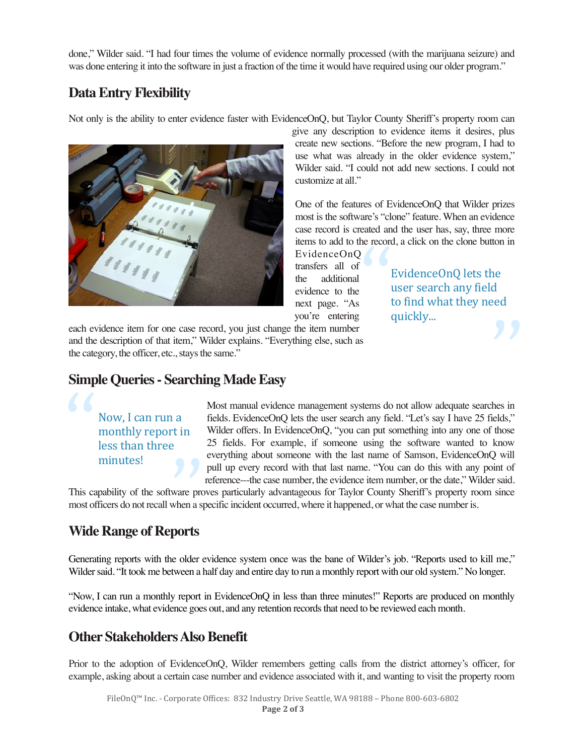done," Wilder said. "I had four times the volume of evidence normally processed (with the marijuana seizure) and was done entering it into the software in just a fraction of the time it would have required using our older program."

#### **Data Entry Flexibility**

Not only is the ability to enter evidence faster with EvidenceOnQ, but Taylor County Sheriff's property room can



give any description to evidence items it desires, plus create new sections. "Before the new program, I had to use what was already in the older evidence system," Wilder said. "I could not add new sections. I could not customize at all."

One of the features of EvidenceOnQ that Wilder prizes most is the software's "clone" feature. When an evidence case record is created and the user has, say, three more items to add to the record, a click on the clone button in  $\begin{bmatrix} 1 \\ 1 \\ 1 \\ 1 \end{bmatrix}$ 

EvidenceOnQ lets the user search any field to find what they need

quickly... **99** 

EvidenceOnQ transfers all of the additional evidence to the next page. "As you're entering

each evidence item for one case record, you just change the item number and the description of that item," Wilder explains. "Everything else, such as the category, the officer, etc., stays the same."

#### **Simple Queries - Searching Made Easy**

Now, I can run a monthly report in less than three "

Most manual evidence management systems do not allow adequate searches in fields. EvidenceOnQ lets the user search any field. "Let's say I have 25 fields," Wilder offers. In EvidenceOnQ, "you can put something into any one of those 25 fields. For example, if someone using the software wanted to know everything about someone with the last name of Samson, EvidenceOnQ will pull up every record with that last name. "You can do this with any point of reference---the case number, the evidence item number, or the date," Wilder said.

This capability of the software proves particularly advantageous for Taylor County Sheriff's property room since most officers do not recall when a specific incident occurred, where it happened, or what the case number is. minutes!<br>
pability of the software proficers do not recall when a s

### **Wide Range of Reports**

Generating reports with the older evidence system once was the bane of Wilder's job. "Reports used to kill me," Wilder said. "It took me between a half day and entire day to run a monthly report with our old system." No longer.

"Now, I can run a monthly report in EvidenceOnQ in less than three minutes!" Reports are produced on monthly evidence intake, what evidence goes out, and any retention records that need to be reviewed each month.

#### **Other Stakeholders Also Benefit**

Prior to the adoption of EvidenceOnQ, Wilder remembers getting calls from the district attorney's officer, for example, asking about a certain case number and evidence associated with it, and wanting to visit the property room